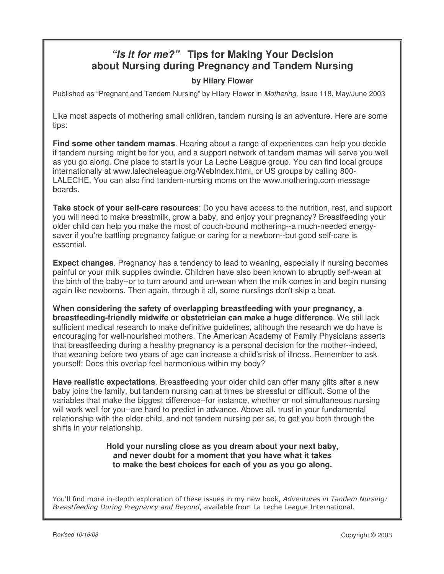# *"Is it for me?"* **Tips for Making Your Decision about Nursing during Pregnancy and Tandem Nursing**

# **by Hilary Flower**

Published as "Pregnant and Tandem Nursing" by Hilary Flower in *Mothering*, Issue 118, May/June 2003

Like most aspects of mothering small children, tandem nursing is an adventure. Here are some tips:

**Find some other tandem mamas**. Hearing about a range of experiences can help you decide if tandem nursing might be for you, and a support network of tandem mamas will serve you well as you go along. One place to start is your La Leche League group. You can find local groups internationally at www.lalecheleague.org/WebIndex.html, or US groups by calling 800- LALECHE. You can also find tandem-nursing moms on the www.mothering.com message boards.

**Take stock of your self-care resources**: Do you have access to the nutrition, rest, and support you will need to make breastmilk, grow a baby, and enjoy your pregnancy? Breastfeeding your older child can help you make the most of couch-bound mothering--a much-needed energysaver if you're battling pregnancy fatigue or caring for a newborn--but good self-care is essential.

**Expect changes**. Pregnancy has a tendency to lead to weaning, especially if nursing becomes painful or your milk supplies dwindle. Children have also been known to abruptly self-wean at the birth of the baby--or to turn around and un-wean when the milk comes in and begin nursing again like newborns. Then again, through it all, some nurslings don't skip a beat.

**When considering the safety of overlapping breastfeeding with your pregnancy, a breastfeeding-friendly midwife or obstetrician can make a huge difference**. We still lack sufficient medical research to make definitive guidelines, although the research we do have is encouraging for well-nourished mothers. The American Academy of Family Physicians asserts that breastfeeding during a healthy pregnancy is a personal decision for the mother--indeed, that weaning before two years of age can increase a child's risk of illness. Remember to ask yourself: Does this overlap feel harmonious within my body?

**Have realistic expectations**. Breastfeeding your older child can offer many gifts after a new baby joins the family, but tandem nursing can at times be stressful or difficult. Some of the variables that make the biggest difference--for instance, whether or not simultaneous nursing will work well for you--are hard to predict in advance. Above all, trust in your fundamental relationship with the older child, and not tandem nursing per se, to get you both through the shifts in your relationship.

> **Hold your nursling close as you dream about your next baby, and never doubt for a moment that you have what it takes to make the best choices for each of you as you go along.**

You'll find more in-depth exploration of these issues in my new book, Adventures in Tandem Nursing: Breastfeeding During Pregnancy and Beyond, available from La Leche League International.